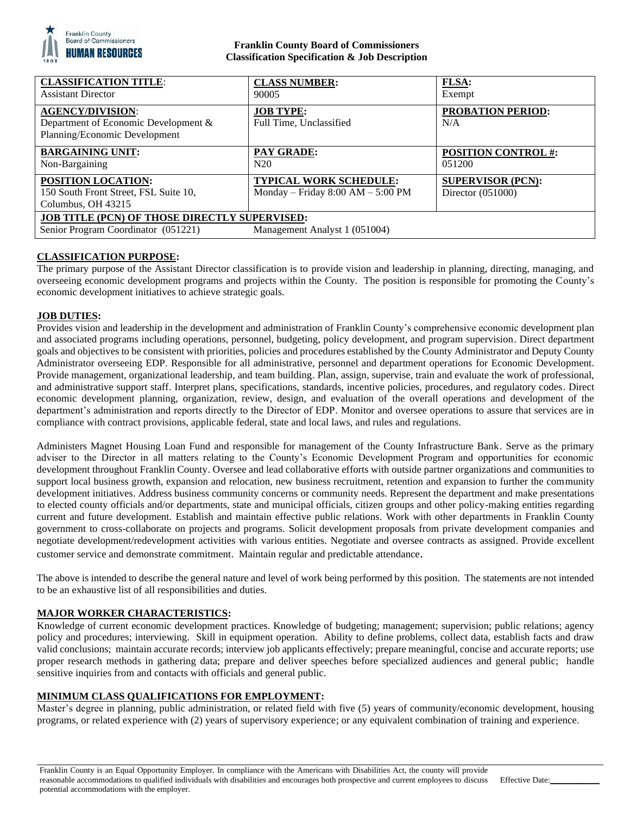

## **Franklin County Board of Commissioners Classification Specification & Job Description**

| <b>CLASSIFICATION TITLE:</b><br><b>Assistant Director</b>                                                                    | <b>CLASS NUMBER:</b><br>90005                                        | <b>FLSA:</b><br>Exempt                          |
|------------------------------------------------------------------------------------------------------------------------------|----------------------------------------------------------------------|-------------------------------------------------|
| <b>AGENCY/DIVISION:</b><br>Department of Economic Development &<br>Planning/Economic Development                             | <b>JOB TYPE:</b><br>Full Time, Unclassified                          | <b>PROBATION PERIOD:</b><br>N/A                 |
| <b>BARGAINING UNIT:</b><br>Non-Bargaining                                                                                    | <b>PAY GRADE:</b><br>N20                                             | <b>POSITION CONTROL #:</b><br>051200            |
| <b>POSITION LOCATION:</b><br>150 South Front Street, FSL Suite 10,<br>Columbus, OH 43215                                     | <b>TYPICAL WORK SCHEDULE:</b><br>Monday – Friday $8:00 AM - 5:00 PM$ | <b>SUPERVISOR (PCN):</b><br>Director $(051000)$ |
| <b>JOB TITLE (PCN) OF THOSE DIRECTLY SUPERVISED:</b><br>Senior Program Coordinator (051221)<br>Management Analyst 1 (051004) |                                                                      |                                                 |

# **CLASSIFICATION PURPOSE:**

The primary purpose of the Assistant Director classification is to provide vision and leadership in planning, directing, managing, and overseeing economic development programs and projects within the County. The position is responsible for promoting the County's economic development initiatives to achieve strategic goals.

### **JOB DUTIES:**

Provides vision and leadership in the development and administration of Franklin County's comprehensive economic development plan and associated programs including operations, personnel, budgeting, policy development, and program supervision. Direct department goals and objectives to be consistent with priorities, policies and procedures established by the County Administrator and Deputy County Administrator overseeing EDP. Responsible for all administrative, personnel and department operations for Economic Development. Provide management, organizational leadership, and team building. Plan, assign, supervise, train and evaluate the work of professional, and administrative support staff. Interpret plans, specifications, standards, incentive policies, procedures, and regulatory codes. Direct economic development planning, organization, review, design, and evaluation of the overall operations and development of the department's administration and reports directly to the Director of EDP. Monitor and oversee operations to assure that services are in compliance with contract provisions, applicable federal, state and local laws, and rules and regulations.

Administers Magnet Housing Loan Fund and responsible for management of the County Infrastructure Bank. Serve as the primary adviser to the Director in all matters relating to the County's Economic Development Program and opportunities for economic development throughout Franklin County. Oversee and lead collaborative efforts with outside partner organizations and communities to support local business growth, expansion and relocation, new business recruitment, retention and expansion to further the community development initiatives. Address business community concerns or community needs. Represent the department and make presentations to elected county officials and/or departments, state and municipal officials, citizen groups and other policy-making entities regarding current and future development. Establish and maintain effective public relations. Work with other departments in Franklin County government to cross-collaborate on projects and programs. Solicit development proposals from private development companies and negotiate development/redevelopment activities with various entities. Negotiate and oversee contracts as assigned. Provide excellent customer service and demonstrate commitment. Maintain regular and predictable attendance.

The above is intended to describe the general nature and level of work being performed by this position. The statements are not intended to be an exhaustive list of all responsibilities and duties.

### **MAJOR WORKER CHARACTERISTICS:**

Knowledge of current economic development practices. Knowledge of budgeting; management; supervision; public relations; agency policy and procedures; interviewing. Skill in equipment operation. Ability to define problems, collect data, establish facts and draw valid conclusions; maintain accurate records; interview job applicants effectively; prepare meaningful, concise and accurate reports; use proper research methods in gathering data; prepare and deliver speeches before specialized audiences and general public; handle sensitive inquiries from and contacts with officials and general public.

### **MINIMUM CLASS QUALIFICATIONS FOR EMPLOYMENT:**

Master's degree in planning, public administration, or related field with five (5) years of community/economic development, housing programs, or related experience with (2) years of supervisory experience; or any equivalent combination of training and experience.